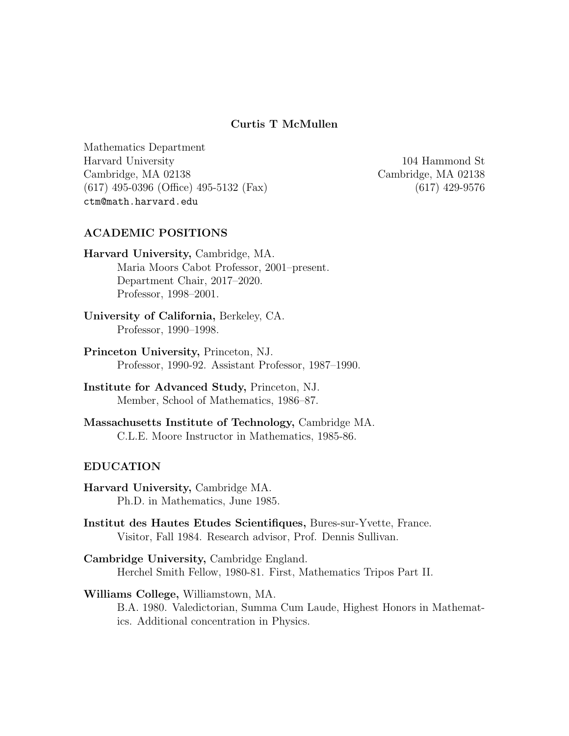## Curtis T McMullen

Mathematics Department Harvard University 104 Hammond St Cambridge, MA 02138 Cambridge, MA 02138 (617) 495-0396 (Office) 495-5132 (Fax) (617) 429-9576 ctm@math.harvard.edu

## ACADEMIC POSITIONS

- Harvard University, Cambridge, MA. Maria Moors Cabot Professor, 2001–present. Department Chair, 2017–2020. Professor, 1998–2001.
- University of California, Berkeley, CA. Professor, 1990–1998.
- Princeton University, Princeton, NJ. Professor, 1990-92. Assistant Professor, 1987–1990.
- Institute for Advanced Study, Princeton, NJ. Member, School of Mathematics, 1986–87.
- Massachusetts Institute of Technology, Cambridge MA. C.L.E. Moore Instructor in Mathematics, 1985-86.

#### EDUCATION

- Harvard University, Cambridge MA. Ph.D. in Mathematics, June 1985.
- Institut des Hautes Etudes Scientifiques, Bures-sur-Yvette, France. Visitor, Fall 1984. Research advisor, Prof. Dennis Sullivan.
- Cambridge University, Cambridge England. Herchel Smith Fellow, 1980-81. First, Mathematics Tripos Part II.

#### Williams College, Williamstown, MA.

B.A. 1980. Valedictorian, Summa Cum Laude, Highest Honors in Mathematics. Additional concentration in Physics.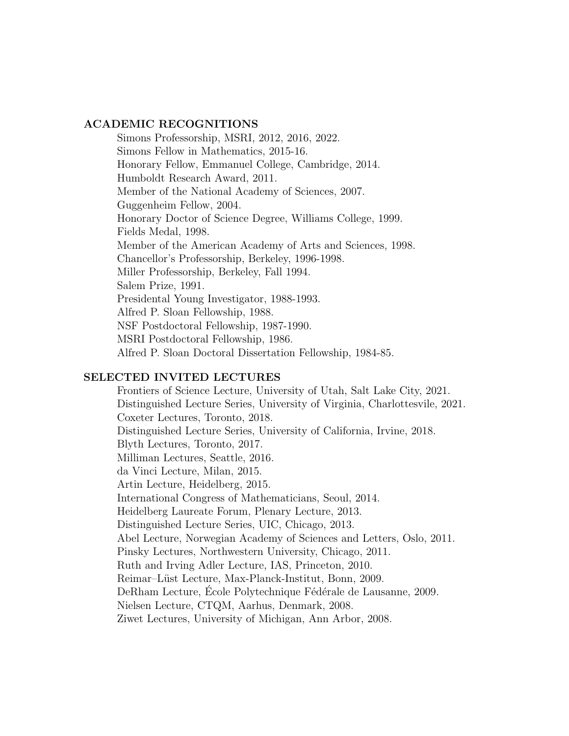#### ACADEMIC RECOGNITIONS

Simons Professorship, MSRI, 2012, 2016, 2022. Simons Fellow in Mathematics, 2015-16. Honorary Fellow, Emmanuel College, Cambridge, 2014. Humboldt Research Award, 2011. Member of the National Academy of Sciences, 2007. Guggenheim Fellow, 2004. Honorary Doctor of Science Degree, Williams College, 1999. Fields Medal, 1998. Member of the American Academy of Arts and Sciences, 1998. Chancellor's Professorship, Berkeley, 1996-1998. Miller Professorship, Berkeley, Fall 1994. Salem Prize, 1991. Presidental Young Investigator, 1988-1993. Alfred P. Sloan Fellowship, 1988. NSF Postdoctoral Fellowship, 1987-1990. MSRI Postdoctoral Fellowship, 1986. Alfred P. Sloan Doctoral Dissertation Fellowship, 1984-85.

#### SELECTED INVITED LECTURES

Frontiers of Science Lecture, University of Utah, Salt Lake City, 2021. Distinguished Lecture Series, University of Virginia, Charlottesvile, 2021. Coxeter Lectures, Toronto, 2018. Distinguished Lecture Series, University of California, Irvine, 2018. Blyth Lectures, Toronto, 2017. Milliman Lectures, Seattle, 2016. da Vinci Lecture, Milan, 2015. Artin Lecture, Heidelberg, 2015. International Congress of Mathematicians, Seoul, 2014. Heidelberg Laureate Forum, Plenary Lecture, 2013. Distinguished Lecture Series, UIC, Chicago, 2013. Abel Lecture, Norwegian Academy of Sciences and Letters, Oslo, 2011. Pinsky Lectures, Northwestern University, Chicago, 2011. Ruth and Irving Adler Lecture, IAS, Princeton, 2010. Reimar–Lüst Lecture, Max-Planck-Institut, Bonn, 2009. DeRham Lecture, École Polytechnique Fédérale de Lausanne, 2009. Nielsen Lecture, CTQM, Aarhus, Denmark, 2008. Ziwet Lectures, University of Michigan, Ann Arbor, 2008.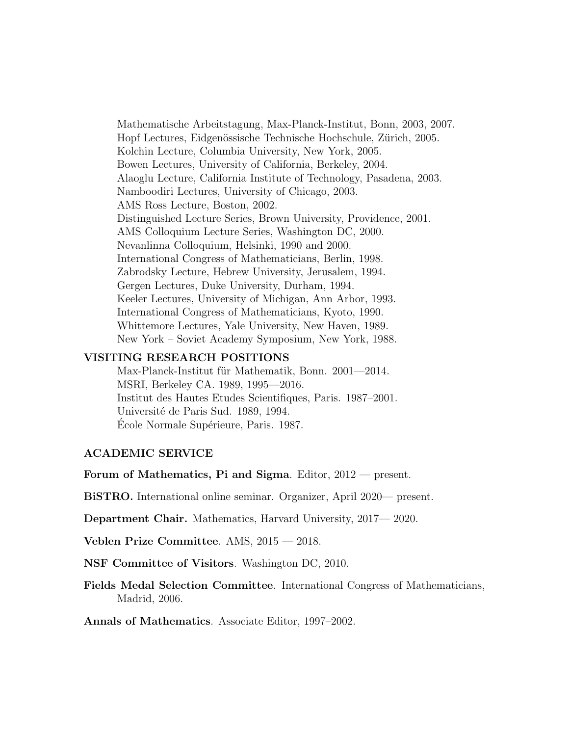Mathematische Arbeitstagung, Max-Planck-Institut, Bonn, 2003, 2007. Hopf Lectures, Eidgenössische Technische Hochschule, Zürich, 2005. Kolchin Lecture, Columbia University, New York, 2005. Bowen Lectures, University of California, Berkeley, 2004. Alaoglu Lecture, California Institute of Technology, Pasadena, 2003. Namboodiri Lectures, University of Chicago, 2003. AMS Ross Lecture, Boston, 2002. Distinguished Lecture Series, Brown University, Providence, 2001. AMS Colloquium Lecture Series, Washington DC, 2000. Nevanlinna Colloquium, Helsinki, 1990 and 2000. International Congress of Mathematicians, Berlin, 1998. Zabrodsky Lecture, Hebrew University, Jerusalem, 1994. Gergen Lectures, Duke University, Durham, 1994. Keeler Lectures, University of Michigan, Ann Arbor, 1993. International Congress of Mathematicians, Kyoto, 1990. Whittemore Lectures, Yale University, New Haven, 1989. New York – Soviet Academy Symposium, New York, 1988.

#### VISITING RESEARCH POSITIONS

Max-Planck-Institut für Mathematik, Bonn. 2001—2014. MSRI, Berkeley CA. 1989, 1995—2016. Institut des Hautes Etudes Scientifiques, Paris. 1987–2001. Université de Paris Sud. 1989, 1994. Ecole Normale Supérieure, Paris. 1987.

## ACADEMIC SERVICE

Forum of Mathematics, Pi and Sigma. Editor, 2012 — present.

BiSTRO. International online seminar. Organizer, April 2020— present.

Department Chair. Mathematics, Harvard University, 2017— 2020.

Veblen Prize Committee. AMS, 2015 — 2018.

NSF Committee of Visitors. Washington DC, 2010.

Fields Medal Selection Committee. International Congress of Mathematicians, Madrid, 2006.

Annals of Mathematics. Associate Editor, 1997–2002.